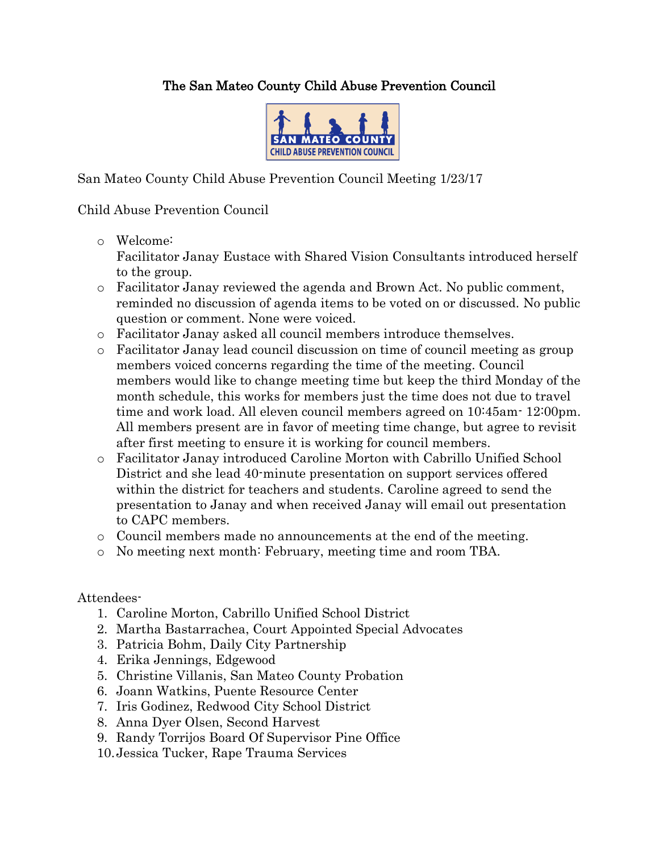## The San Mateo County Child Abuse Prevention Council



San Mateo County Child Abuse Prevention Council Meeting 1/23/17

## Child Abuse Prevention Council

o Welcome:

Facilitator Janay Eustace with Shared Vision Consultants introduced herself to the group.

- o Facilitator Janay reviewed the agenda and Brown Act. No public comment, reminded no discussion of agenda items to be voted on or discussed. No public question or comment. None were voiced.
- o Facilitator Janay asked all council members introduce themselves.
- o Facilitator Janay lead council discussion on time of council meeting as group members voiced concerns regarding the time of the meeting. Council members would like to change meeting time but keep the third Monday of the month schedule, this works for members just the time does not due to travel time and work load. All eleven council members agreed on 10:45am- 12:00pm. All members present are in favor of meeting time change, but agree to revisit after first meeting to ensure it is working for council members.
- o Facilitator Janay introduced Caroline Morton with Cabrillo Unified School District and she lead 40-minute presentation on support services offered within the district for teachers and students. Caroline agreed to send the presentation to Janay and when received Janay will email out presentation to CAPC members.
- o Council members made no announcements at the end of the meeting.
- o No meeting next month: February, meeting time and room TBA.

## Attendees-

- 1. Caroline Morton, Cabrillo Unified School District
- 2. Martha Bastarrachea, Court Appointed Special Advocates
- 3. Patricia Bohm, Daily City Partnership
- 4. Erika Jennings, Edgewood
- 5. Christine Villanis, San Mateo County Probation
- 6. Joann Watkins, Puente Resource Center
- 7. Iris Godinez, Redwood City School District
- 8. Anna Dyer Olsen, Second Harvest
- 9. Randy Torrijos Board Of Supervisor Pine Office
- 10.Jessica Tucker, Rape Trauma Services